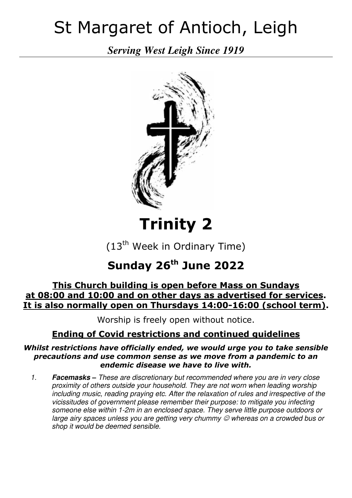# St Margaret of Antioch, Leigh

*Serving West Leigh Since 1919* 



# **Trinity 2**

(13<sup>th</sup> Week in Ordinary Time)

# **Sunday 26th June 2022**

#### **This Church building is open before Mass on Sundays at 08:00 and 10:00 and on other days as advertised for services. It is also normally open on Thursdays 14:00-16:00 (school term).**

Worship is freely open without notice.

# **Ending of Covid restrictions and continued guidelines**

#### *Whilst restrictions have officially ended, we would urge you to take sensible precautions and use common sense as we move from a pandemic to an endemic disease we have to live with.*

*1. Facemasks – These are discretionary but recommended where you are in very close proximity of others outside your household. They are not worn when leading worship including music, reading praying etc. After the relaxation of rules and irrespective of the vicissitudes of government please remember their purpose: to mitigate you infecting someone else within 1-2m in an enclosed space. They serve little purpose outdoors or large airy spaces unless you are getting very chummy*  $\heartsuit$  *whereas on a crowded bus or shop it would be deemed sensible.*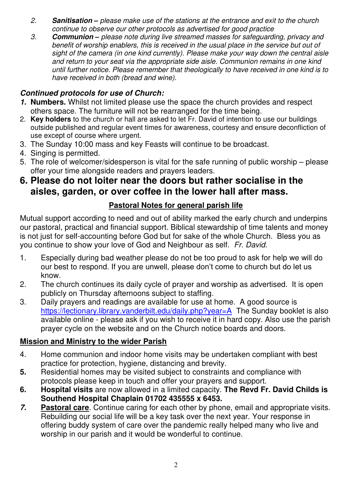- *2. Sanitisation – please make use of the stations at the entrance and exit to the church continue to observe our other protocols as advertised for good practice*
- *3. Communion – please note during live streamed masses for safeguarding, privacy and benefit of worship enablers, this is received in the usual place in the service but out of sight of the camera (in one kind currently). Please make your way down the central aisle and return to your seat via the appropriate side aisle. Communion remains in one kind until further notice. Please remember that theologically to have received in one kind is to have received in both (bread and wine).*

#### *Continued protocols for use of Church:*

- *1.* **Numbers.** Whilst not limited please use the space the church provides and respect others space. The furniture will not be rearranged for the time being.
- 2. **Key holders** to the church or hall are asked to let Fr. David of intention to use our buildings outside published and regular event times for awareness, courtesy and ensure deconfliction of use except of course where urgent.
- 3. The Sunday 10:00 mass and key Feasts will continue to be broadcast.
- 4. Singing is permitted.
- 5. The role of welcomer/sidesperson is vital for the safe running of public worship please offer your time alongside readers and prayers leaders.

#### **6. Please do not loiter near the doors but rather socialise in the aisles, garden, or over coffee in the lower hall after mass.**

#### **Pastoral Notes for general parish life**

Mutual support according to need and out of ability marked the early church and underpins our pastoral, practical and financial support. Biblical stewardship of time talents and money is not just for self-accounting before God but for sake of the whole Church. Bless you as you continue to show your love of God and Neighbour as self. *Fr. David.*

- 1. Especially during bad weather please do not be too proud to ask for help we will do our best to respond. If you are unwell, please don't come to church but do let us know.
- 2. The church continues its daily cycle of prayer and worship as advertised. It is open publicly on Thursday afternoons subject to staffing.
- 3. Daily prayers and readings are available for use at home. A good source is <https://lectionary.library.vanderbilt.edu/daily.php?year=A>The Sunday booklet is also available online - please ask if you wish to receive it in hard copy. Also use the parish prayer cycle on the website and on the Church notice boards and doors.

#### **Mission and Ministry to the wider Parish**

- 4. Home communion and indoor home visits may be undertaken compliant with best practice for protection, hygiene, distancing and brevity.
- **5.** Residential homes may be visited subject to constraints and compliance with protocols please keep in touch and offer your prayers and support.
- **6. Hospital visits** are now allowed in a limited capacity. **The Revd Fr. David Childs is Southend Hospital Chaplain 01702 435555 x 6453.**
- *7.* **Pastoral care**. Continue caring for each other by phone, email and appropriate visits. Rebuilding our social life will be a key task over the next year. Your response in offering buddy system of care over the pandemic really helped many who live and worship in our parish and it would be wonderful to continue.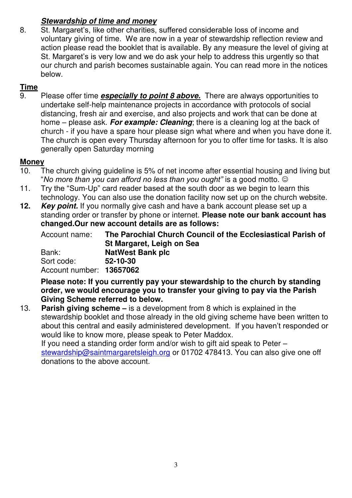#### *Stewardship of time and money*

8. St. Margaret's, like other charities, suffered considerable loss of income and voluntary giving of time. We are now in a year of stewardship reflection review and action please read the booklet that is available. By any measure the level of giving at St. Margaret's is very low and we do ask your help to address this urgently so that our church and parish becomes sustainable again. You can read more in the notices below.

# **Time**<br>9.

Please offer time **especially to point 8 above.** There are always opportunities to undertake self-help maintenance projects in accordance with protocols of social distancing, fresh air and exercise, and also projects and work that can be done at home – please ask. *For example: Cleaning*; there is a cleaning log at the back of church - if you have a spare hour please sign what where and when you have done it. The church is open every Thursday afternoon for you to offer time for tasks. It is also generally open Saturday morning

#### **Money**

- 10. The church giving guideline is 5% of net income after essential housing and living but "*No more than you can afford no less than you ought"* is a good motto.
- 11. Try the "Sum-Up" card reader based at the south door as we begin to learn this technology. You can also use the donation facility now set up on the church website.
- **12.** *Key point.* If you normally give cash and have a bank account please set up a standing order or transfer by phone or internet. **Please note our bank account has changed.Our new account details are as follows:**

Account name: **The Parochial Church Council of the Ecclesiastical Parish of St Margaret, Leigh on Sea** Bank: **NatWest Bank plc** Sort code: **52-10-30** Account number: **13657062** 

**Please note: If you currently pay your stewardship to the church by standing order, we would encourage you to transfer your giving to pay via the Parish Giving Scheme referred to below.** 

13. **Parish giving scheme –** is a development from 8 which is explained in the stewardship booklet and those already in the old giving scheme have been written to about this central and easily administered development. If you haven't responded or would like to know more, please speak to Peter Maddox. If you need a standing order form and/or wish to gift aid speak to Peter –

[stewardship@saintmargaretsleigh.org](mailto:stewardship@saintmargaretsleigh.org) or 01702 478413. You can also give one off donations to the above account.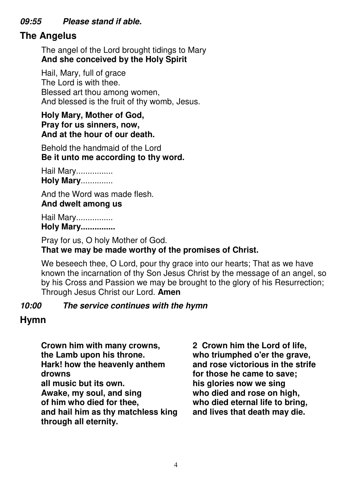#### *09:55 Please stand if able.*

# **The Angelus**

 The angel of the Lord brought tidings to Mary **And she conceived by the Holy Spirit** 

 Hail, Mary, full of grace The Lord is with thee. Blessed art thou among women, And blessed is the fruit of thy womb, Jesus.

#### **Holy Mary, Mother of God, Pray for us sinners, now, And at the hour of our death.**

 Behold the handmaid of the Lord  **Be it unto me according to thy word.** 

Hail Mary.................  **Holy Mary**..............

 And the Word was made flesh.  **And dwelt among us** 

Hail Mary................  **Holy Mary...............** 

Pray for us, O holy Mother of God. **That we may be made worthy of the promises of Christ.** 

We beseech thee, O Lord, pour thy grace into our hearts; That as we have known the incarnation of thy Son Jesus Christ by the message of an angel, so by his Cross and Passion we may be brought to the glory of his Resurrection; Through Jesus Christ our Lord. **Amen** 

#### *10:00 The service continues with the hymn*

# **Hymn**

**Crown him with many crowns, the Lamb upon his throne. Hark! how the heavenly anthem drowns all music but its own. Awake, my soul, and sing of him who died for thee, and hail him as thy matchless king through all eternity.** 

**2 Crown him the Lord of life, who triumphed o'er the grave, and rose victorious in the strife for those he came to save; his glories now we sing who died and rose on high, who died eternal life to bring, and lives that death may die.**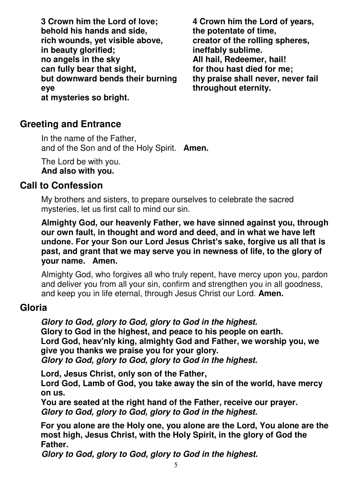**3 Crown him the Lord of love; behold his hands and side, rich wounds, yet visible above, in beauty glorified; no angels in the sky can fully bear that sight, but downward bends their burning eye at mysteries so bright.** 

**4 Crown him the Lord of years, the potentate of time, creator of the rolling spheres, ineffably sublime. All hail, Redeemer, hail! for thou hast died for me; thy praise shall never, never fail throughout eternity.** 

## **Greeting and Entrance**

In the name of the Father, and of the Son and of the Holy Spirit. **Amen.**

The Lord be with you. **And also with you.** 

## **Call to Confession**

My brothers and sisters, to prepare ourselves to celebrate the sacred mysteries, let us first call to mind our sin.

**Almighty God, our heavenly Father, we have sinned against you, through our own fault, in thought and word and deed, and in what we have left undone. For your Son our Lord Jesus Christ's sake, forgive us all that is past, and grant that we may serve you in newness of life, to the glory of your name. Amen.** 

Almighty God, who forgives all who truly repent, have mercy upon you, pardon and deliver you from all your sin, confirm and strengthen you in all goodness, and keep you in life eternal, through Jesus Christ our Lord. **Amen.** 

#### **Gloria**

*Glory to God, glory to God, glory to God in the highest.*  **Glory to God in the highest, and peace to his people on earth. Lord God, heav'nly king, almighty God and Father, we worship you, we give you thanks we praise you for your glory.**  *Glory to God, glory to God, glory to God in the highest.* 

**Lord, Jesus Christ, only son of the Father,** 

**Lord God, Lamb of God, you take away the sin of the world, have mercy on us.** 

**You are seated at the right hand of the Father, receive our prayer.**  *Glory to God, glory to God, glory to God in the highest.* 

**For you alone are the Holy one, you alone are the Lord, You alone are the most high, Jesus Christ, with the Holy Spirit, in the glory of God the Father.** 

 *Glory to God, glory to God, glory to God in the highest.*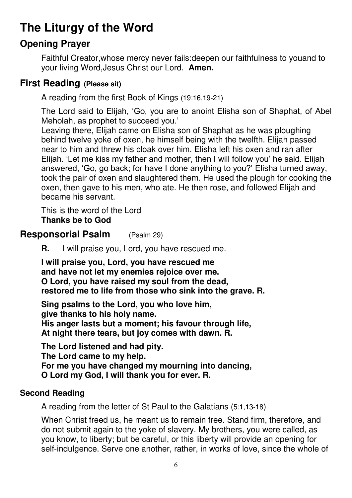# **The Liturgy of the Word**

# **Opening Prayer**

Faithful Creator,whose mercy never fails:deepen our faithfulness to youand to your living Word,Jesus Christ our Lord. **Amen.**

## **First Reading (Please sit)**

A reading from the first Book of Kings (19:16,19-21)

The Lord said to Elijah, 'Go, you are to anoint Elisha son of Shaphat, of Abel Meholah, as prophet to succeed you.'

Leaving there, Elijah came on Elisha son of Shaphat as he was ploughing behind twelve yoke of oxen, he himself being with the twelfth. Elijah passed near to him and threw his cloak over him. Elisha left his oxen and ran after Elijah. 'Let me kiss my father and mother, then I will follow you' he said. Elijah answered, 'Go, go back; for have I done anything to you?' Elisha turned away, took the pair of oxen and slaughtered them. He used the plough for cooking the oxen, then gave to his men, who ate. He then rose, and followed Elijah and became his servant.

 This is the word of the Lord  **Thanks be to God** 

# **Responsorial Psalm** (Psalm 29)

**R.** I will praise you, Lord, you have rescued me.

 **I will praise you, Lord, you have rescued me and have not let my enemies rejoice over me. O Lord, you have raised my soul from the dead, restored me to life from those who sink into the grave. R.** 

**Sing psalms to the Lord, you who love him, give thanks to his holy name. His anger lasts but a moment; his favour through life, At night there tears, but joy comes with dawn. R.** 

 **The Lord listened and had pity. The Lord came to my help. For me you have changed my mourning into dancing, O Lord my God, I will thank you for ever. R.** 

## **Second Reading**

A reading from the letter of St Paul to the Galatians (5:1,13-18)

When Christ freed us, he meant us to remain free. Stand firm, therefore, and do not submit again to the yoke of slavery. My brothers, you were called, as you know, to liberty; but be careful, or this liberty will provide an opening for self-indulgence. Serve one another, rather, in works of love, since the whole of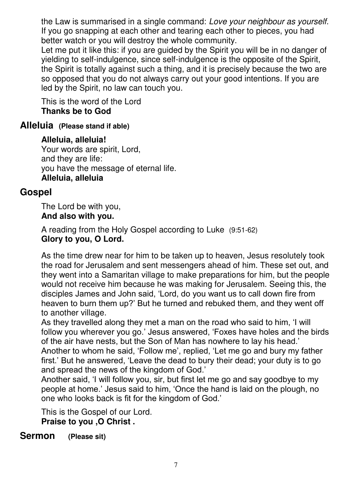the Law is summarised in a single command: *Love your neighbour as yourself.* If you go snapping at each other and tearing each other to pieces, you had better watch or you will destroy the whole community.

Let me put it like this: if you are guided by the Spirit you will be in no danger of yielding to self-indulgence, since self-indulgence is the opposite of the Spirit, the Spirit is totally against such a thing, and it is precisely because the two are so opposed that you do not always carry out your good intentions. If you are led by the Spirit, no law can touch you.

 This is the word of the Lord  **Thanks be to God** 

#### **Alleluia (Please stand if able)**

#### **Alleluia, alleluia!**

 Your words are spirit, Lord, and they are life: you have the message of eternal life. **Alleluia, alleluia**

#### **Gospel**

The Lord be with you, **And also with you.** 

A reading from the Holy Gospel according to Luke (9:51-62) **Glory to you, O Lord.** 

As the time drew near for him to be taken up to heaven, Jesus resolutely took the road for Jerusalem and sent messengers ahead of him. These set out, and they went into a Samaritan village to make preparations for him, but the people would not receive him because he was making for Jerusalem. Seeing this, the disciples James and John said, 'Lord, do you want us to call down fire from heaven to burn them up?' But he turned and rebuked them, and they went off to another village.

As they travelled along they met a man on the road who said to him, 'I will follow you wherever you go.' Jesus answered, 'Foxes have holes and the birds of the air have nests, but the Son of Man has nowhere to lay his head.' Another to whom he said, 'Follow me', replied, 'Let me go and bury my father first.' But he answered, 'Leave the dead to bury their dead; your duty is to go and spread the news of the kingdom of God.'

Another said, 'I will follow you, sir, but first let me go and say goodbye to my people at home.' Jesus said to him, 'Once the hand is laid on the plough, no one who looks back is fit for the kingdom of God.'

This is the Gospel of our Lord. **Praise to you ,O Christ .** 

**Sermon (Please sit)**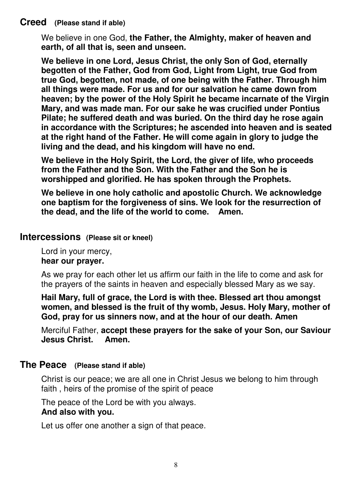**Creed (Please stand if able)** 

We believe in one God, **the Father, the Almighty, maker of heaven and earth, of all that is, seen and unseen.** 

**We believe in one Lord, Jesus Christ, the only Son of God, eternally begotten of the Father, God from God, Light from Light, true God from true God, begotten, not made, of one being with the Father. Through him all things were made. For us and for our salvation he came down from heaven; by the power of the Holy Spirit he became incarnate of the Virgin Mary, and was made man. For our sake he was crucified under Pontius Pilate; he suffered death and was buried. On the third day he rose again in accordance with the Scriptures; he ascended into heaven and is seated at the right hand of the Father. He will come again in glory to judge the living and the dead, and his kingdom will have no end.** 

**We believe in the Holy Spirit, the Lord, the giver of life, who proceeds from the Father and the Son. With the Father and the Son he is worshipped and glorified. He has spoken through the Prophets.** 

**We believe in one holy catholic and apostolic Church. We acknowledge one baptism for the forgiveness of sins. We look for the resurrection of the dead, and the life of the world to come. Amen.** 

#### **Intercessions (Please sit or kneel)**

Lord in your mercy, **hear our prayer.** 

As we pray for each other let us affirm our faith in the life to come and ask for the prayers of the saints in heaven and especially blessed Mary as we say.

**Hail Mary, full of grace, the Lord is with thee. Blessed art thou amongst women, and blessed is the fruit of thy womb, Jesus. Holy Mary, mother of God, pray for us sinners now, and at the hour of our death. Amen** 

Merciful Father, **accept these prayers for the sake of your Son, our Saviour Jesus Christ. Amen.** 

#### **The Peace (Please stand if able)**

Christ is our peace; we are all one in Christ Jesus we belong to him through faith , heirs of the promise of the spirit of peace

The peace of the Lord be with you always. **And also with you.** 

Let us offer one another a sign of that peace.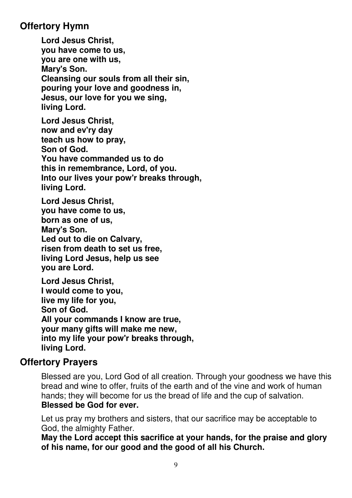# **Offertory Hymn**

**Lord Jesus Christ, you have come to us, you are one with us, Mary's Son. Cleansing our souls from all their sin, pouring your love and goodness in, Jesus, our love for you we sing, living Lord.** 

 **Lord Jesus Christ, now and ev'ry day teach us how to pray, Son of God. You have commanded us to do this in remembrance, Lord, of you. Into our lives your pow'r breaks through, living Lord.** 

 **Lord Jesus Christ, you have come to us, born as one of us, Mary's Son. Led out to die on Calvary, risen from death to set us free, living Lord Jesus, help us see you are Lord.** 

 **Lord Jesus Christ, I would come to you, live my life for you, Son of God. All your commands I know are true, your many gifts will make me new, into my life your pow'r breaks through, living Lord.** 

## **Offertory Prayers**

Blessed are you, Lord God of all creation. Through your goodness we have this bread and wine to offer, fruits of the earth and of the vine and work of human hands; they will become for us the bread of life and the cup of salvation. **Blessed be God for ever.** 

Let us pray my brothers and sisters, that our sacrifice may be acceptable to God, the almighty Father.

**May the Lord accept this sacrifice at your hands, for the praise and glory of his name, for our good and the good of all his Church.**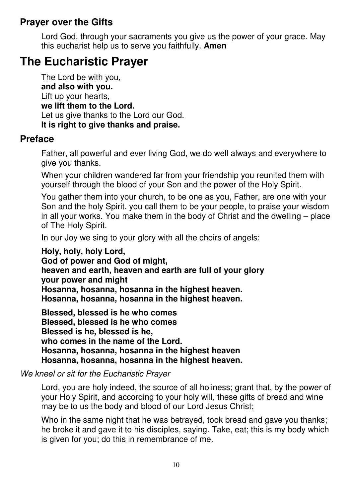# **Prayer over the Gifts**

Lord God, through your sacraments you give us the power of your grace. May this eucharist help us to serve you faithfully. **Amen**

# **The Eucharistic Prayer**

The Lord be with you, **and also with you.**  Lift up your hearts, **we lift them to the Lord.**  Let us give thanks to the Lord our God. **It is right to give thanks and praise.** 

## **Preface**

Father, all powerful and ever living God, we do well always and everywhere to give you thanks.

When your children wandered far from your friendship you reunited them with yourself through the blood of your Son and the power of the Holy Spirit.

You gather them into your church, to be one as you, Father, are one with your Son and the holy Spirit. you call them to be your people, to praise your wisdom in all your works. You make them in the body of Christ and the dwelling – place of The Holy Spirit.

In our Joy we sing to your glory with all the choirs of angels:

**Holy, holy, holy Lord, God of power and God of might, heaven and earth, heaven and earth are full of your glory your power and might Hosanna, hosanna, hosanna in the highest heaven. Hosanna, hosanna, hosanna in the highest heaven.** 

**Blessed, blessed is he who comes Blessed, blessed is he who comes Blessed is he, blessed is he, who comes in the name of the Lord. Hosanna, hosanna, hosanna in the highest heaven Hosanna, hosanna, hosanna in the highest heaven.** 

*We kneel or sit for the Eucharistic Prayer* 

Lord, you are holy indeed, the source of all holiness; grant that, by the power of your Holy Spirit, and according to your holy will, these gifts of bread and wine may be to us the body and blood of our Lord Jesus Christ;

Who in the same night that he was betrayed, took bread and gave you thanks; he broke it and gave it to his disciples, saying. Take, eat; this is my body which is given for you; do this in remembrance of me.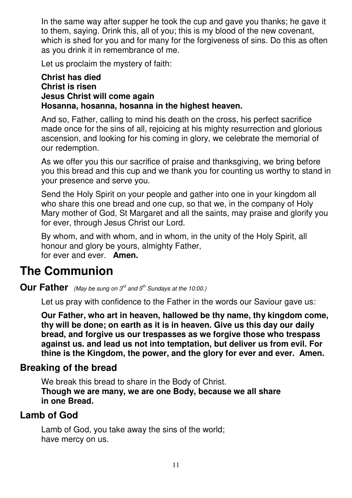In the same way after supper he took the cup and gave you thanks; he gave it to them, saying. Drink this, all of you; this is my blood of the new covenant, which is shed for you and for many for the forgiveness of sins. Do this as often as you drink it in remembrance of me.

Let us proclaim the mystery of faith:

#### **Christ has died Christ is risen Jesus Christ will come again Hosanna, hosanna, hosanna in the highest heaven.**

And so, Father, calling to mind his death on the cross, his perfect sacrifice made once for the sins of all, rejoicing at his mighty resurrection and glorious ascension, and looking for his coming in glory, we celebrate the memorial of our redemption.

As we offer you this our sacrifice of praise and thanksgiving, we bring before you this bread and this cup and we thank you for counting us worthy to stand in your presence and serve you.

Send the Holy Spirit on your people and gather into one in your kingdom all who share this one bread and one cup, so that we, in the company of Holy Mary mother of God, St Margaret and all the saints, may praise and glorify you for ever, through Jesus Christ our Lord.

By whom, and with whom, and in whom, in the unity of the Holy Spirit, all honour and glory be yours, almighty Father, for ever and ever. **Amen.** 

# **The Communion**

**Our Father** *(May be sung on 3rd and 5th Sundays at the 10:00.)*

Let us pray with confidence to the Father in the words our Saviour gave us:

**Our Father, who art in heaven, hallowed be thy name, thy kingdom come, thy will be done; on earth as it is in heaven. Give us this day our daily bread, and forgive us our trespasses as we forgive those who trespass against us. and lead us not into temptation, but deliver us from evil. For thine is the Kingdom, the power, and the glory for ever and ever. Amen.** 

# **Breaking of the bread**

We break this bread to share in the Body of Christ. **Though we are many, we are one Body, because we all share in one Bread.**

# **Lamb of God**

Lamb of God, you take away the sins of the world; have mercy on us.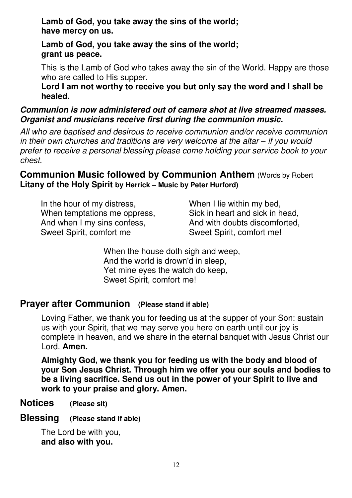**Lamb of God, you take away the sins of the world; have mercy on us.** 

 **Lamb of God, you take away the sins of the world; grant us peace.** 

This is the Lamb of God who takes away the sin of the World. Happy are those who are called to His supper.

**Lord I am not worthy to receive you but only say the word and I shall be healed.** 

#### *Communion is now administered out of camera shot at live streamed masses. Organist and musicians receive first during the communion music.*

*All who are baptised and desirous to receive communion and/or receive communion in their own churches and traditions are very welcome at the altar – if you would prefer to receive a personal blessing please come holding your service book to your chest.* 

#### **Communion Music followed by Communion Anthem (Words by Robert) Litany of the Holy Spirit by Herrick – Music by Peter Hurford)**

In the hour of my distress, When temptations me oppress, And when I my sins confess, Sweet Spirit, comfort me

When I lie within my bed. Sick in heart and sick in head, And with doubts discomforted, Sweet Spirit, comfort me!

When the house doth sigh and weep, And the world is drown'd in sleep, Yet mine eyes the watch do keep, Sweet Spirit, comfort me!

## **Prayer after Communion (Please stand if able)**

Loving Father, we thank you for feeding us at the supper of your Son: sustain us with your Spirit, that we may serve you here on earth until our joy is complete in heaven, and we share in the eternal banquet with Jesus Christ our Lord. **Amen.**

**Almighty God, we thank you for feeding us with the body and blood of your Son Jesus Christ. Through him we offer you our souls and bodies to be a living sacrifice. Send us out in the power of your Spirit to live and work to your praise and glory. Amen.** 

**Notices (Please sit)**

#### **Blessing (Please stand if able)**

The Lord be with you, **and also with you.**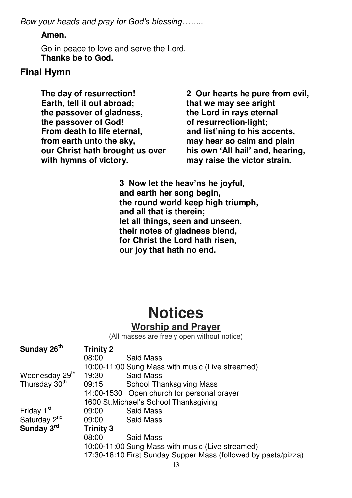*Bow your heads and pray for God's blessing……..*

#### **Amen.**

Go in peace to love and serve the Lord. **Thanks be to God.** 

## **Final Hymn**

 **The day of resurrection! Earth, tell it out abroad; the passover of gladness, the passover of God! From death to life eternal, from earth unto the sky, our Christ hath brought us over with hymns of victory.** 

**2 Our hearts he pure from evil, that we may see aright the Lord in rays eternal of resurrection-light; and list'ning to his accents, may hear so calm and plain his own 'All hail' and, hearing, may raise the victor strain.** 

**3 Now let the heav'ns he joyful, and earth her song begin, the round world keep high triumph, and all that is therein; let all things, seen and unseen, their notes of gladness blend, for Christ the Lord hath risen, our joy that hath no end.** 

# **Notices Worship and Prayer**

(All masses are freely open without notice)

| Sunday 26 <sup>th</sup>    | <b>Trinity 2</b> |                                                                |
|----------------------------|------------------|----------------------------------------------------------------|
|                            | 08:00            | <b>Said Mass</b>                                               |
|                            |                  | 10:00-11:00 Sung Mass with music (Live streamed)               |
| Wednesday 29 <sup>th</sup> | 19:30            | <b>Said Mass</b>                                               |
| Thursday 30 <sup>th</sup>  | 09:15            | <b>School Thanksgiving Mass</b>                                |
|                            |                  | 14:00-1530 Open church for personal prayer                     |
|                            |                  | 1600 St. Michael's School Thanksgiving                         |
| Friday 1 <sup>st</sup>     | 09:00            | <b>Said Mass</b>                                               |
| Saturday 2 <sup>nd</sup>   | 09:00            | <b>Said Mass</b>                                               |
| Sunday 3rd                 | <b>Trinity 3</b> |                                                                |
|                            | 08:00            | <b>Said Mass</b>                                               |
|                            |                  | 10:00-11:00 Sung Mass with music (Live streamed)               |
|                            |                  | 17:30-18:10 First Sunday Supper Mass (followed by pasta/pizza) |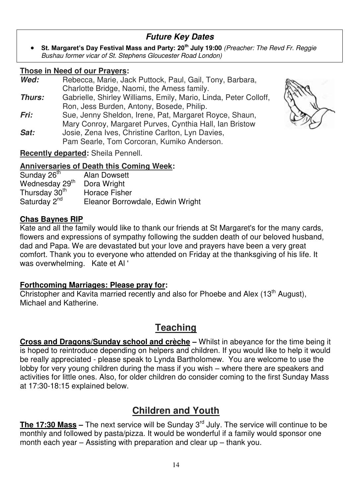# *Future Key Dates*

 **St. Margaret's Day Festival Mass and Party: 20th July 19:00** *(Preacher: The Revd Fr. Reggie Bushau former vicar of St. Stephens Gloucester Road London)*

#### **Those in Need of our Prayers:**

| Wed:          | Rebecca, Marie, Jack Puttock, Paul, Gail, Tony, Barbara,         |
|---------------|------------------------------------------------------------------|
|               | Charlotte Bridge, Naomi, the Amess family.                       |
| <b>Thurs:</b> | Gabrielle, Shirley Williams, Emily, Mario, Linda, Peter Colloff, |
|               | Ron, Jess Burden, Antony, Bosede, Philip.                        |
| <i>Fri:</i>   | Sue, Jenny Sheldon, Irene, Pat, Margaret Royce, Shaun,           |
|               | Mary Conroy, Margaret Purves, Cynthia Hall, Ian Bristow          |
| Sat:          | Josie, Zena Ives, Christine Carlton, Lyn Davies,                 |
|               | Pam Searle, Tom Corcoran, Kumiko Anderson.                       |



#### **Anniversaries of Death this Coming Week:**

 $\overline{\text{Sunday 26}}^{\text{th}}$  Alan Dowsett Wednesday  $29<sup>th</sup>$  Dora Wright Thursday  $30<sup>th</sup>$  Horace Fisher Saturday 2<sup>nd</sup> Eleanor Borrowdale, Edwin Wright

#### **Chas Baynes RIP**

Kate and all the family would like to thank our friends at St Margaret's for the many cards, flowers and expressions of sympathy following the sudden death of our beloved husband, dad and Papa. We are devastated but your love and prayers have been a very great comfort. Thank you to everyone who attended on Friday at the thanksgiving of his life. It was overwhelming. Kate et Al '

#### **Forthcoming Marriages: Please pray for:**

Christopher and Kavita married recently and also for Phoebe and Alex (13<sup>th</sup> August), Michael and Katherine.

# **Teaching**

**Cross and Dragons/Sunday school and crèche –** Whilst in abeyance for the time being it is hoped to reintroduce depending on helpers and children. If you would like to help it would be really appreciated - please speak to Lynda Bartholomew. You are welcome to use the lobby for very young children during the mass if you wish – where there are speakers and activities for little ones. Also, for older children do consider coming to the first Sunday Mass at 17:30-18:15 explained below.

# **Children and Youth**

**The 17:30 Mass –** The next service will be Sunday 3rd July. The service will continue to be monthly and followed by pasta/pizza. It would be wonderful if a family would sponsor one month each year – Assisting with preparation and clear up – thank you.

14

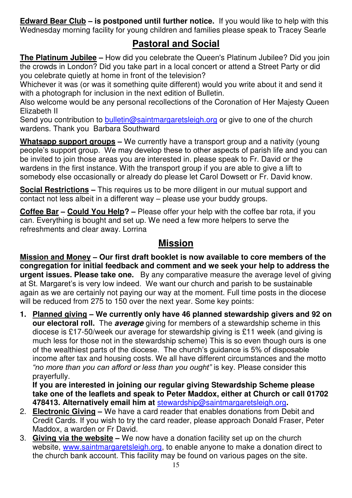**Edward Bear Club – is postponed until further notice.** If you would like to help with this Wednesday morning facility for young children and families please speak to Tracey Searle

# **Pastoral and Social**

**The Platinum Jubilee –** How did you celebrate the Queen's Platinum Jubilee? Did you join the crowds in London? Did you take part in a local concert or attend a Street Party or did you celebrate quietly at home in front of the television?

Whichever it was (or was it something quite different) would you write about it and send it with a photograph for inclusion in the next edition of Bulletin.

Also welcome would be any personal recollections of the Coronation of Her Majesty Queen Elizabeth II

Send you contribution to [bulletin@saintmargaretsleigh.org](mailto:bulletin@saintmargaretsleigh.org) or give to one of the church wardens. Thank you Barbara Southward

**Whatsapp support groups –** We currently have a transport group and a nativity (young people's support group. We may develop these to other aspects of parish life and you can be invited to join those areas you are interested in. please speak to Fr. David or the wardens in the first instance. With the transport group if you are able to give a lift to somebody else occasionally or already do please let Carol Dowsett or Fr. David know.

**Social Restrictions –** This requires us to be more diligent in our mutual support and contact not less albeit in a different way – please use your buddy groups.

**Coffee Bar – Could You Help? –** Please offer your help with the coffee bar rota, if you can. Everything is bought and set up. We need a few more helpers to serve the refreshments and clear away. Lorrina

# **Mission**

**Mission and Money – Our first draft booklet is now available to core members of the congregation for initial feedback and comment and we seek your help to address the urgent issues. Please take one.** By any comparative measure the average level of giving at St. Margaret's is very low indeed. We want our church and parish to be sustainable again as we are certainly not paying our way at the moment. Full time posts in the diocese will be reduced from 275 to 150 over the next year. Some key points:

**1. Planned giving – We currently only have 46 planned stewardship givers and 92 on our electoral roll.** The *average* giving for members of a stewardship scheme in this diocese is £17-50/week our average for stewardship giving is £11 week (and giving is much less for those not in the stewardship scheme) This is so even though ours is one of the wealthiest parts of the diocese. The church's guidance is 5% of disposable income after tax and housing costs. We all have different circumstances and the motto *"no more than you can afford or less than you ought"* is key. Please consider this prayerfully.

**If you are interested in joining our regular giving Stewardship Scheme please take one of the leaflets and speak to Peter Maddox, either at Church or call 01702 478413. Alternatively email him at** [stewardship@saintmargaretsleigh.org](mailto:stewardship@saintmargaretsleigh.org)**.** 

- 2. **Electronic Giving –** We have a card reader that enables donations from Debit and Credit Cards. If you wish to try the card reader, please approach Donald Fraser, Peter Maddox, a warden or Fr David.
- 3. **Giving via the website –** We now have a donation facility set up on the church website, [www.saintmargaretsleigh.org,](http://www.saintmargaretsleigh.org/) to enable anyone to make a donation direct to the church bank account. This facility may be found on various pages on the site.